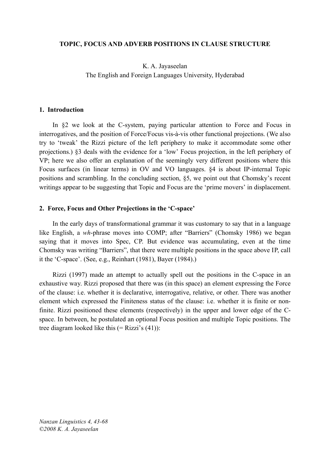#### **TOPIC, FOCUS AND ADVERB POSITIONS IN CLAUSE STRUCTURE**

# K. A. Jayaseelan The English and Foreign Languages University, Hyderabad

#### **1. Introduction**

In §2 we look at the C-system, paying particular attention to Force and Focus in interrogatives, and the position of Force/Focus vis-à-vis other functional projections. (We also try to 'tweak' the Rizzi picture of the left periphery to make it accommodate some other projections.) §3 deals with the evidence for a 'low' Focus projection, in the left periphery of VP; here we also offer an explanation of the seemingly very different positions where this Focus surfaces (in linear terms) in OV and VO languages. §4 is about IP-internal Topic positions and scrambling. In the concluding section, §5, we point out that Chomsky's recent writings appear to be suggesting that Topic and Focus are the 'prime movers' in displacement.

#### **2. Force, Focus and Other Projections in the 'C-space'**

In the early days of transformational grammar it was customary to say that in a language like English, a *wh*-phrase moves into COMP; after "Barriers" (Chomsky 1986) we began saying that it moves into Spec, CP. But evidence was accumulating, even at the time Chomsky was writing "Barriers", that there were multiple positions in the space above IP, call it the 'C-space'. (See, e.g., Reinhart (1981), Bayer (1984).)

Rizzi (1997) made an attempt to actually spell out the positions in the C-space in an exhaustive way. Rizzi proposed that there was (in this space) an element expressing the Force of the clause: i.e. whether it is declarative, interrogative, relative, or other. There was another element which expressed the Finiteness status of the clause: i.e. whether it is finite or nonfinite. Rizzi positioned these elements (respectively) in the upper and lower edge of the Cspace. In between, he postulated an optional Focus position and multiple Topic positions. The tree diagram looked like this  $(= Rizzi's (41))$ :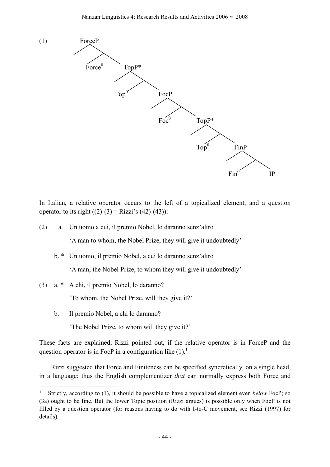

In Italian, a relative operator occurs to the left of a topicalized element, and a question operator to its right  $((2)-(3) = Rizzi's (42)-(43))$ :

(2) a. Un uomo a cui, il premio Nobel, lo daranno senz'altro

'A man to whom, the Nobel Prize, they will give it undoubtedly'

b. \* Un uomo, il premio Nobel, a cui lo daranno senz'altro

'A man, the Nobel Prize, to whom they will give it undoubtedly'

(3) a. \* A chi, il premio Nobel, lo daranno?

'To whom, the Nobel Prize, will they give it?'

b. Il premio Nobel, a chi lo daranno?

l

'The Nobel Prize, to whom will they give it?'

These facts are explained, Rizzi pointed out, if the relative operator is in ForceP and the question operator is in FocP in a configuration like  $(1)$ .

Rizzi suggested that Force and Finiteness can be specified syncretically, on a single head, in a language; thus the English complementizer *that* can normally express both Force and

<sup>1</sup> Strictly, according to (1), it should be possible to have a topicalized element even *below* FocP; so (3a) ought to be fine. But the lower Topic position (Rizzi argues) is possible only when FocP is not filled by a question operator (for reasons having to do with I-to-C movement, see Rizzi (1997) for details).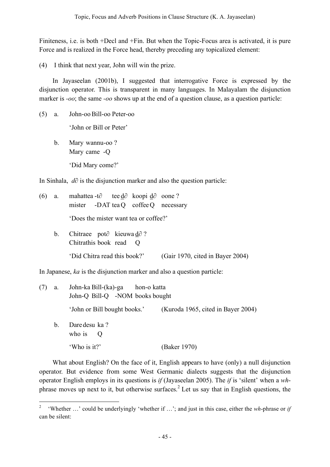Finiteness, i.e. is both +Decl and +Fin. But when the Topic-Focus area is activated, it is pure Force and is realized in the Force head, thereby preceding any topicalized element:

(4) I think that next year, John will win the prize.

In Jayaseelan (2001b), I suggested that interrogative Force is expressed by the disjunction operator. This is transparent in many languages. In Malayalam the disjunction marker is *-oo*; the same *-oo* shows up at the end of a question clause, as a question particle:

(5) a. John-ooBill-oo Peter-oo

'John or Bill or Peter'

b. Mary wannu-oo ? Mary came -Q 'Did Mary come?'

 $\overline{a}$ 

In Sinhala, *d∂* is the disjunction marker and also the question particle:

| (6) | a.      | mahattea -t $\partial$ tee d $\partial$ koopi d $\partial$ oone?        |  |  |  |
|-----|---------|-------------------------------------------------------------------------|--|--|--|
|     |         | mister -DAT tea Q coffee Q necessary                                    |  |  |  |
|     |         | 'Does the mister want tea or coffee?'                                   |  |  |  |
|     | $b_{1}$ | Chitraee pot $\partial$ kieuwa d $\partial$ ?<br>Chitrathis book read Q |  |  |  |
|     |         | (Gair 1970, cited in Bayer 2004)<br>'Did Chitra read this book?'        |  |  |  |

In Japanese, *ka* is the disjunction marker and also a question particle:

| (7) | a.      | John-ka Bill-(ka)-ga<br>hon-o katta<br>John-Q Bill-Q -NOM books bought |                                    |  |
|-----|---------|------------------------------------------------------------------------|------------------------------------|--|
|     |         | 'John or Bill bought books.'                                           | (Kuroda 1965, cited in Bayer 2004) |  |
|     | $b_{-}$ | Dare desu ka?<br>who is $Q$                                            |                                    |  |
|     |         | 'Who is it?'                                                           | (Baker 1970)                       |  |

What about English? On the face of it, English appears to have (only) a null disjunction operator. But evidence from some West Germanic dialects suggests that the disjunction operator English employs in its questions is *if* (Jayaseelan 2005). The *if* is 'silent' when a *wh*phrase moves up next to it, but otherwise surfaces. <sup>2</sup> Let us say that in English questions, the

<sup>2</sup> 'Whether …' could be underlyingly 'whether if …'; and just in this case, either the *wh*-phrase or *if* can be silent: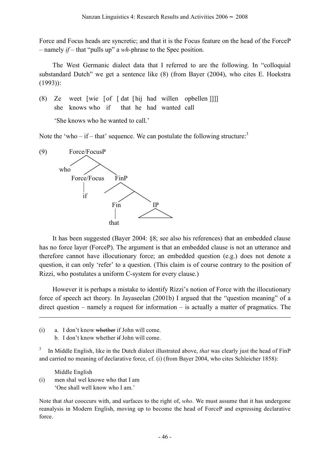Force and Focus heads are syncretic; and that it is the Focus feature on the head of the ForceP – namely *if* – that "pulls up" a *wh*-phrase to the Spec position.

The West Germanic dialect data that I referred to are the following. In "colloquial substandard Dutch" we get a sentence like (8) (from Bayer (2004), who cites E. Hoekstra (1993)):

(8) Ze weet [wie [of [ dat [hij had willen opbellen ]]]] she knows who if that he had wanted call

'She knows who he wanted to call.'

Note the 'who – if – that' sequence. We can postulate the following structure:



It has been suggested (Bayer 2004: §8; see also his references) that an embedded clause has no force layer (ForceP). The argument is that an embedded clause is not an utterance and therefore cannot have illocutionary force; an embedded question (e.g.) does not denote a question, it can only 'refer' to a question. (This claim is of course contrary to the position of Rizzi, who postulates a uniform C-system for every clause.)

However it is perhaps a mistake to identify Rizzi's notion of Force with the illocutionary force of speech act theory. In Jayaseelan (2001b) I argued that the "question meaning" of a direct question – namely a request for information – is actually a matter of pragmatics. The

- (i) a. I don't know whether if John will come.
	- b. I don't know whether if John will come.

<sup>3</sup> In Middle English, like in the Dutch dialect illustrated above, *that* was clearly just the head of FinP and carried no meaning of declarative force, cf. (i) (from Bayer 2004, who cites Schleicher 1858):

Middle English (i) men shal wel knowe who that I am 'One shall well know who I am.'

1

Note that *that* cooccurs with, and surfaces to the right of, *who*. We must assume that it has undergone reanalysis in Modern English, moving up to become the head of ForceP and expressing declarative force.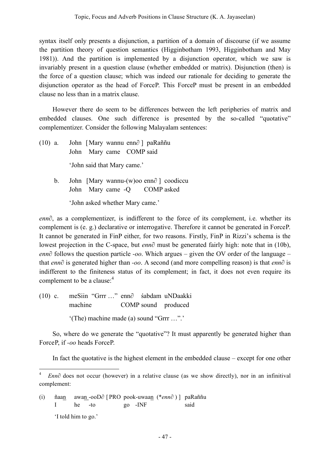syntax itself only presents a disjunction, a partition of a domain of discourse (if we assume the partition theory of question semantics (Higginbotham 1993, Higginbotham and May 1981)). And the partition is implemented by a disjunction operator, which we saw is invariably present in a question clause (whether embedded or matrix). Disjunction (then) is the force of a question clause; which was indeed our rationale for deciding to generate the disjunction operator as the head of ForceP. This ForceP must be present in an embedded clause no less than in a matrix clause.

However there do seem to be differences between the left peripheries of matrix and embedded clauses. One such difference is presented by the so-called "quotative" complementizer. Consider the following Malayalam sentences:

- (10) a. John [Mary wannu enn*∂* ] paRaññu John Mary came COMP said 'John said that Mary came.'
	- b. John [Mary wannu-(w)oo enn*∂* ] coodiccu John Mary came -Q COMP asked 'John asked whether Mary came.'

*enn∂*, as a complementizer, is indifferent to the force of its complement, i.e. whether its complement is (e. g.) declarative or interrogative. Therefore it cannot be generated in ForceP. It cannot be generated in FinP either, for two reasons. Firstly, FinP in Rizzi's schema is the lowest projection in the C-space, but *enn∂* must be generated fairly high: note that in (10b), *enn∂* follows the question particle *-oo*. Which argues – given the OV order of the language – that *enn∂* is generated higher than *-oo*. A second (and more compelling reason) is that *enn∂* is indifferent to the finiteness status of its complement; in fact, it does not even require its complement to be a clause: 4

(10) c. meSiin "Grrr …" enn∂ śabdam uNDaakki machine COMP sound produced '(The) machine made (a) sound "Grrr …".'

 $\overline{a}$ 

So, where do we generate the "quotative"? It must apparently be generated higher than ForceP, if *-oo* heads ForceP.

In fact the quotative is the highest element in the embedded clause – except for one other

(i) ñaan awan -ooD∂ [ PRO pook-uwaan (\**enn∂* ) ] paRaññu I he -to go -INF said 'I told him to go.'

<sup>4</sup> *Enn∂* does not occur (however) in a relative clause (as we show directly), nor in an infinitival complement: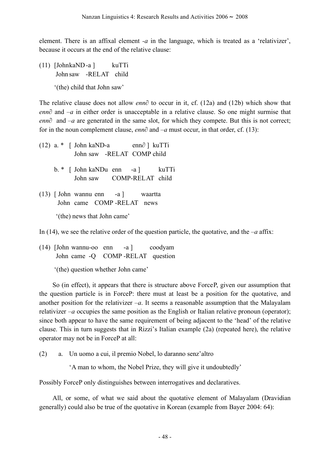element. There is an affixal element *-a* in the language, which is treated as a 'relativizer', because it occurs at the end of the relative clause:

- (11) [JohnkaND-a ] kuTTi John saw -RELAT child
	- '(the) child that John saw'

The relative clause does not allow *enn∂* to occur in it, cf. (12a) and (12b) which show that *enn∂* and *–a* in either order is unacceptable in a relative clause. So one might surmise that *enn∂* and *–a* are generated in the same slot, for which they compete. But this is not correct; for in the noun complement clause, *enn∂* and *–a* must occur, in that order, cf. (13):

(12) a. \* [ John kaND-a enn∂ ] kuTTi John saw -RELAT COMP child b. \* [ John kaNDu enn -a ] kuTTi John saw COMP-RELAT child (13) [ John wannu enn -a ] waartta John came COMP -RELAT news '(the) news that John came'

In (14), we see the relative order of the question particle, the quotative, and the  $-a$  affix:

(14) [John wannu-oo enn -a ] coodyam John came -Q COMP -RELAT question

'(the) question whether John came'

So (in effect), it appears that there is structure above ForceP, given our assumption that the question particle is in ForceP: there must at least be a position for the quotative, and another position for the relativizer *–a*. It seems a reasonable assumption that the Malayalam relativizer  $-a$  occupies the same position as the English or Italian relative pronoun (operator); since both appear to have the same requirement of being adjacent to the 'head' of the relative clause. This in turn suggests that in Rizzi's Italian example (2a) (repeated here), the relative operator may not be in ForceP at all:

(2) a. Un uomo a cui, il premio Nobel, lo daranno senz'altro

'A man to whom, the Nobel Prize, they will give it undoubtedly'

Possibly ForceP only distinguishes between interrogatives and declaratives.

All, or some, of what we said about the quotative element of Malayalam (Dravidian generally) could also be true of the quotative in Korean (example from Bayer 2004: 64):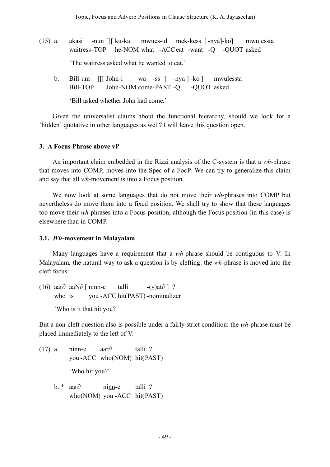- (15) a. akasi -nun [[[ ku-ka mwues-ul mek-kess ] -nya]-ko] mwulessta waitress-TOP he-NOM what -ACCeat -want -Q -QUOT asked 'The waitress asked what he wanted to eat.'
	- b. Bill-um [[[ John-i wa -ss ] -nya ] -ko ] mwulessta Bill-TOP John-NOM come-PAST -Q -QUOT asked

'Bill asked whether John had come.'

Given the universalist claims about the functional hierarchy, should we look for a 'hidden' quotative in other languages as well? I will leave this question open.

### **3. A Focus Phrase above vP**

An important claim embedded in the Rizzi analysis of the C-system is that a *wh*-phrase that moves into COMP, moves into the Spec of a FocP. We can try to generalize this claim and say that all *wh*-movement is into a Focus position.

We now look at some languages that do not move their *wh*-phrases into COMP but nevertheless do move them into a fixed position. We shall try to show that these languages too move their *wh*-phrases into a Focus position, although the Focus position (in this case) is elsewhere than in COMP.

### **3.1.** *Wh***-movement in Malayalam**

Many languages have a requirement that a *wh*-phrase should be contiguous to V. In Malayalam, the natural way to ask a question is by clefting: the *wh*-phrase is moved into the cleft focus:

(16) aar∂ aaN∂ [ ninn-e talli -(y)at∂ ] ? who is you -ACC hit(PAST) -nominalizer

'Who is it that hit you?'

But a non-cleft question also is possible under a fairly strict condition: the *wh-*phrase must be placed immediately to the left of V.

- (17) a. ninn-e aar∂ talli ? you -ACC who(NOM) hit(PAST) 'Who hit you?'
	- b. \* aar∂ ninn-e talli ? who(NOM) you -ACC hit(PAST)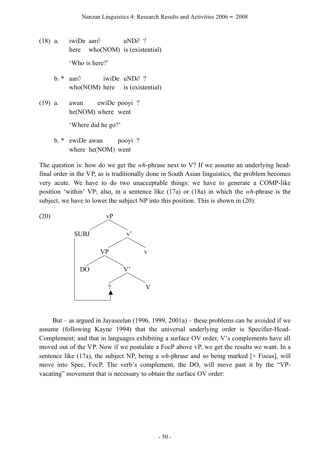- (18) a. iwiDe aar∂ uND∂ ? here who(NOM) is (existential) 'Who is here?'
	- b. \* aar∂ iwiDe uND∂ ? who(NOM) here is (existential)
- (19) a. awan ewiDe pooyi ? he(NOM) where went

'Where did he go?'

b. \* ewiDe awan pooyi ? where he(NOM) went

The question is: how do we get the *wh*-phrase next to V? If we assume an underlying headfinal order in the VP, as is traditionally done in South Asian linguistics, the problem becomes very acute. We have to do two unacceptable things: we have to generate a COMP-like position 'within' VP; also, in a sentence like (17a) or (18a) in which the *wh*-phrase is the subject, we have to lower the subject NP into this position. This is shown in (20):



But – as argued in Jayaseelan (1996, 1999, 2001a) – these problems can be avoided if we assume (following Kayne 1994) that the universal underlying order is Specifier-Head-Complement; and that in languages exhibiting a surface OV order, V's complements have all moved out of the VP. Now if we postulate a FocP above vP, we get the results we want. In a sentence like (17a), the subject NP, being a *wh*-phrase and so being marked [+ Focus], will move into Spec, FocP. The verb's complement, the DO, will move past it by the "VPvacating" movement that is necessary to obtain the surface OV order: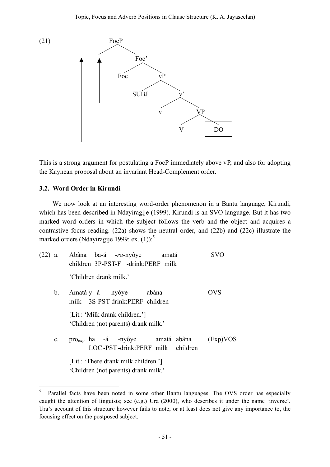

This is a strong argument for postulating a FocP immediately above vP, and also for adopting the Kaynean proposal about an invariant Head-Complement order.

### **3.2. Word Order in Kirundi**

l

We now look at an interesting word-order phenomenon in a Bantu language, Kirundi, which has been described in Ndayiragije (1999). Kirundi is an SVO language. But it has two marked word orders in which the subject follows the verb and the object and acquires a contrastive focus reading. (22a) shows the neutral order, and (22b) and (22c) illustrate the marked orders (Ndayiragije 1999: ex.  $(1)$ ):<sup>5</sup>

|             | (22) a. Abâna ba-á -ra-nyôye amatá<br>children 3P-PST-F -drink:PERF milk        | SVO      |  |  |  |
|-------------|---------------------------------------------------------------------------------|----------|--|--|--|
|             | 'Children drank milk.'                                                          |          |  |  |  |
| $b_{-}$     | Amatá y -á -nyôye abâna<br>milk 3S-PST-drink:PERF children                      | OVS      |  |  |  |
|             | [Lit.: 'Milk drank children.']<br>'Children (not parents) drank milk.'          |          |  |  |  |
| $c_{\cdot}$ | pro <sub>exp</sub> ha -á -nyôye amatá abâna<br>LOC-PST-drink:PERF milk children | (Exp)VOS |  |  |  |
|             | [Lit.: 'There drank milk children.']<br>'Children (not parents) drank milk.'    |          |  |  |  |

<sup>&</sup>lt;sup>5</sup> Parallel facts have been noted in some other Bantu languages. The OVS order has especially caught the attention of linguists; see (e.g.) Ura (2000), who describes it under the name 'inverse'. Ura's account of this structure however fails to note, or at least does not give any importance to, the focusing effect on the postposed subject.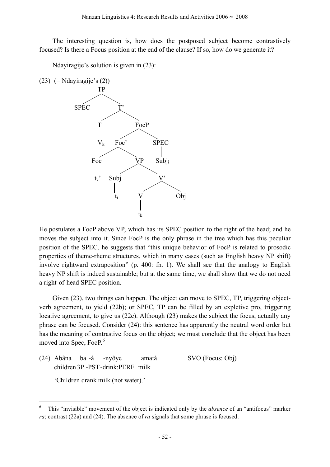The interesting question is, how does the postposed subject become contrastively focused? Is there a Focus position at the end of the clause? If so, how do we generate it?

Ndayiragije's solution is given in (23):

(23)  $(=\text{Ndayiragije's (2)})$ 



He postulates a FocP above VP, which has its SPEC position to the right of the head; and he moves the subject into it. Since FocP is the only phrase in the tree which has this peculiar position of the SPEC, he suggests that "this unique behavior of FocP is related to prosodic properties of theme-rheme structures, which in many cases (such as English heavy NP shift) involve rightward extraposition" (p. 400: fn. 1). We shall see that the analogy to English heavy NP shift is indeed sustainable; but at the same time, we shall show that we do not need a right-of-head SPEC position.

Given (23), two things can happen. The object can move to SPEC, TP, triggering objectverb agreement, to yield (22b); or SPEC, TP can be filled by an expletive pro, triggering locative agreement, to give us (22c). Although (23) makes the subject the focus, actually any phrase can be focused. Consider (24): this sentence has apparently the neutral word order but has the meaning of contrastive focus on the object; we must conclude that the object has been moved into Spec, FocP.<sup>6</sup>

(24) Abâna ba -á -nyôye amatá SVO (Focus: Obj) children 3P -PST-drink:PERF milk

'Children drank milk (not water).'

 $\overline{a}$ 

<sup>6</sup> This "invisible" movement of the object is indicated only by the *absence* of an "antifocus" marker *ra*; contrast (22a) and (24). The absence of *ra* signals that some phrase is focused.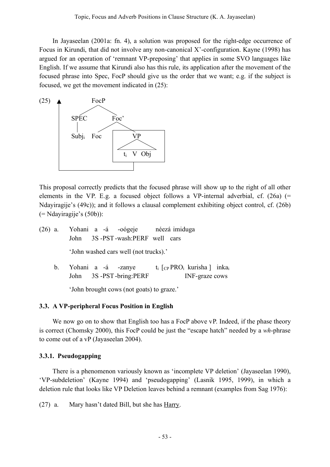In Jayaseelan (2001a: fn. 4), a solution was proposed for the right-edge occurrence of Focus in Kirundi, that did not involve any non-canonical X'-configuration. Kayne (1998) has argued for an operation of 'remnant VP-preposing' that applies in some SVO languages like English. If we assume that Kirundi also has this rule, its application after the movement of the focused phrase into Spec, FocP should give us the order that we want; e.g. if the subject is focused, we get the movement indicated in (25):



This proposal correctly predicts that the focused phrase will show up to the right of all other elements in the VP. E.g. a focused object follows a VP-internal adverbial, cf.  $(26a)$  (= Ndayiragije's (49c)); and it follows a clausal complement exhibiting object control, cf. (26b) (= Ndayiragije's (50b)):

- (26) a. Yohani a -á -oógeje néezá imiduga John 3S -PST-wash:PERF well cars 'John washed cars well (not trucks).'
	- b. Yohani a -á -zanye  $t_i$   $[CP PRO_i$  kurisha  $]$  inka<sub>i</sub> John 3S -PST-bring: PERF INF-graze cows

'John brought cows (not goats) to graze.'

# **3.3. A VP-peripheral Focus Position in English**

We now go on to show that English too has a FocP above vP. Indeed, if the phase theory is correct (Chomsky 2000), this FocP could be just the "escape hatch" needed by a *wh*-phrase to come out of a vP (Jayaseelan 2004).

# **3.3.1. Pseudogapping**

There is a phenomenon variously known as 'incomplete VP deletion' (Jayaseelan 1990), 'VP-subdeletion' (Kayne 1994) and 'pseudogapping' (Lasnik 1995, 1999), in which a deletion rule that looks like VP Deletion leaves behind a remnant (examples from Sag 1976):

(27) a. Mary hasn't dated Bill, but she has Harry.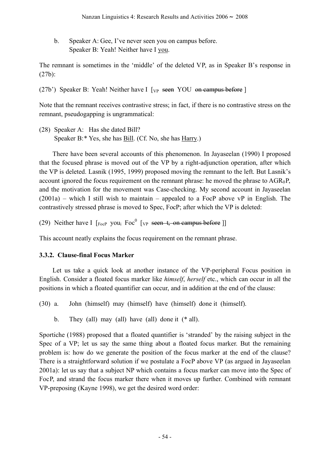b. Speaker A: Gee, I've never seen you on campus before. Speaker B: Yeah! Neither have I you.

The remnant is sometimes in the 'middle' of the deleted VP, as in Speaker B's response in (27b):

(27b') Speaker B: Yeah! Neither have I  $[\text{VP}$  seen YOU on campus before ]

Note that the remnant receives contrastive stress; in fact, if there is no contrastive stress on the remnant, pseudogapping is ungrammatical:

(28) Speaker A: Has she dated Bill? Speaker B:\* Yes, she has Bill. (Cf. No, she has Harry.)

There have been several accounts of this phenomenon. In Jayaseelan (1990) I proposed that the focused phrase is moved out of the VP by a right-adjunction operation, after which the VP is deleted. Lasnik (1995, 1999) proposed moving the remnant to the left. But Lasnik's account ignored the focus requirement on the remnant phrase: he moved the phrase to  $AGR_0P$ , and the motivation for the movement was Case-checking. My second account in Jayaseelan  $(2001a)$  – which I still wish to maintain – appealed to a FocP above vP in English. The contrastively stressed phrase is moved to Spec, FocP; after which the VP is deleted:

(29) Neither have I  $\lceil \frac{F_{\text{OCP}}}{F_{\text{OCP}}}$  you<sub>i</sub>  $\lceil \frac{F_{\text{OCP}}}{F_{\text{OCP}}}$  =  $\frac{F_{\text{OCP}}}{F_{\text{OCP}}}$  =  $\frac{F_{\text{OCP}}}{F_{\text{OCP}}}$ 

This account neatly explains the focus requirement on the remnant phrase.

# **3.3.2. Clause-final Focus Marker**

Let us take a quick look at another instance of the VP-peripheral Focus position in English. Consider a floated focus marker like *himself*, *herself* etc., which can occur in all the positions in which a floated quantifier can occur, and in addition at the end of the clause:

(30) a. John (himself) may (himself) have (himself) done it (himself).

b. They (all) may (all) have (all) done it  $(*$  all).

Sportiche (1988) proposed that a floated quantifier is 'stranded' by the raising subject in the Spec of a VP; let us say the same thing about a floated focus marker. But the remaining problem is: how do we generate the position of the focus marker at the end of the clause? There is a straightforward solution if we postulate a FocP above VP (as argued in Jayaseelan 2001a): let us say that a subject NP which contains a focus marker can move into the Spec of FocP, and strand the focus marker there when it moves up further. Combined with remnant VP-preposing (Kayne 1998), we get the desired word order: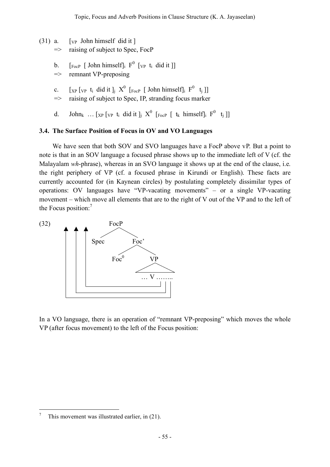- $(31)$  a. [<sub>VP</sub> John himself did it]
	- => raising of subject to Spec, FocP
	- b.  $\left[\begin{array}{cc} 5 \ -1 \end{array}\right]$  [ $\left[\begin{array}{cc} 5 \ -1 \end{array}\right]$  [ $\left[\begin{array}{cc} 1 \end{array}\right]$ ]
	- $\Rightarrow$  remnant VP-preposing
	- c.  $[xP \, [VP \, t_i \, did it]_j \, X^0 \, [FocP \, [John himself]_i \, F^0 \, t_j ]]$
	- => raising of subject to Spec, IP, stranding focus marker
	- d. John<sub>k</sub> ... [ $_{XP}$  [ $_{VP}$  t<sub>i</sub> did it ]<sub>j</sub>  $X^0$  [ $_{FocP}$  [  $t_k$  himself]<sub>i</sub>  $F^0$  t<sub>i</sub> ]]

# **3.4. The Surface Position of Focus in OV and VO Languages**

We have seen that both SOV and SVO languages have a FocP above vP. But a point to note is that in an SOV language a focused phrase shows up to the immediate left of V (cf. the Malayalam *wh*-phrase), whereas in an SVO language it shows up at the end of the clause, i.e. the right periphery of VP (cf. a focused phrase in Kirundi or English). These facts are currently accounted for (in Kaynean circles) by postulating completely dissimilar types of operations: OV languages have "VP-vacating movements" – or a single VP-vacating movement – which move all elements that are to the right of V out of the VP and to the left of the Focus position:<sup>7</sup>



In a VO language, there is an operation of "remnant VP-preposing" which moves the whole VP (after focus movement) to the left of the Focus position:

l

This movement was illustrated earlier, in (21).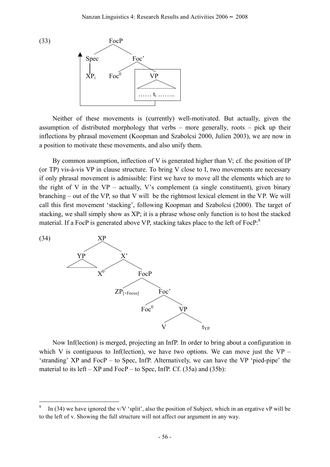

Neither of these movements is (currently) well-motivated. But actually, given the assumption of distributed morphology that verbs – more generally, roots – pick up their inflections by phrasal movement (Koopman and Szabolcsi 2000, Julien 2003), we are now in a position to motivate these movements, and also unify them.

By common assumption, inflection of V is generated higher than V; cf. the position of IP (or TP) vis-à-vis VP in clause structure. To bring V close to I, two movements are necessary if only phrasal movement is admissible: First we have to move all the elements which are to the right of V in the VP – actually, V's complement (a single constituent), given binary branching – out of the VP, so that V will be the rightmost lexical element in the VP. We will call this first movement 'stacking', following Koopman and Szabolcsi (2000). The target of stacking, we shall simply show as XP; it is a phrase whose only function is to host the stacked material. If a FocP is generated above VP, stacking takes place to the left of FocP.<sup>8</sup>



 $\overline{a}$ 

Now Inf(lection) is merged, projecting an InfP. In order to bring about a configuration in which V is contiguous to Inf(lection), we have two options. We can move just the  $VP -$ 'stranding' XP and FocP – to Spec, InfP. Alternatively, we can have the VP 'pied-pipe' the material to its left –  $XP$  and FocP – to Spec, InfP. Cf. (35a) and (35b):

In (34) we have ignored the v/V 'split', also the position of Subject, which in an ergative vP will be to the left of v. Showing the full structure will not affect our argument in any way.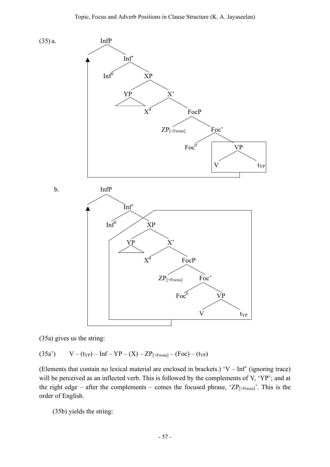

(35a) gives us the string:

(35a')  $V - (t_{YP}) - Inf - YP - (X) - ZP_{[+Focus]} - (Foc) - (t_{VP})$ 

(Elements that contain no lexical material are enclosed in brackets.) 'V – Inf' (ignoring trace) will be perceived as an inflected verb. This is followed by the complements of V, 'YP'; and at the right edge – after the complements – comes the focused phrase, ' $ZP_{[+Focus]}$ '. This is the order of English.

(35b) yields the string: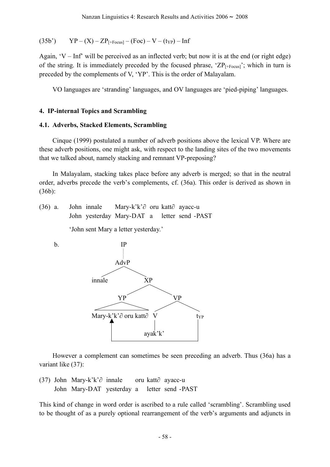$$
(35b') \qquad \text{YP} - (\text{X}) - \text{ZP}_{[+\text{Focus}]} - (\text{Foc}) - \text{V} - (\text{typ}) - \text{Inf}
$$

Again, 'V – Inf' will be perceived as an inflected verb; but now it is at the end (or right edge) of the string. It is immediately preceded by the focused phrase, ' $\text{ZP}_{[+Focus]}$ '; which in turn is preceded by the complements of V, 'YP'. This is the order of Malayalam.

VO languages are 'stranding' languages, and OV languages are 'pied-piping' languages.

#### **4. IP-internal Topics and Scrambling**

#### **4.1. Adverbs, Stacked Elements, Scrambling**

Cinque (1999) postulated a number of adverb positions above the lexical VP. Where are these adverb positions, one might ask, with respect to the landing sites of the two movements that we talked about, namely stacking and remnant VP-preposing?

In Malayalam, stacking takes place before any adverb is merged; so that in the neutral order, adverbs precede the verb's complements, cf. (36a). This order is derived as shown in (36b):

(36) a. John innale Mary-k'k'∂ oru katt∂ ayacc-u John yesterday Mary-DAT a letter send -PAST

'John sent Mary a letter yesterday.'



However a complement can sometimes be seen preceding an adverb. Thus (36a) has a variant like (37):

(37) John Mary-k'k'∂ innale oru katt∂ ayacc-u John Mary-DAT yesterday a letter send -PAST

This kind of change in word order is ascribed to a rule called 'scrambling'. Scrambling used to be thought of as a purely optional rearrangement of the verb's arguments and adjuncts in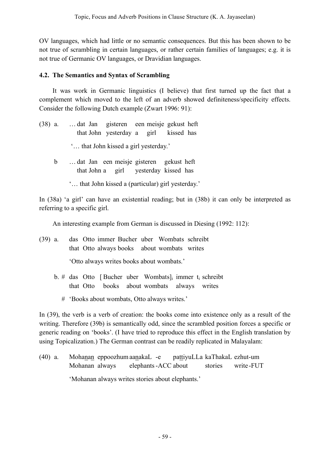OV languages, which had little or no semantic consequences. But this has been shown to be not true of scrambling in certain languages, or rather certain families of languages; e.g. it is not true of Germanic OV languages, or Dravidian languages.

### **4.2. The Semantics and Syntax of Scrambling**

It was work in Germanic linguistics (I believe) that first turned up the fact that a complement which moved to the left of an adverb showed definiteness/specificity effects. Consider the following Dutch example (Zwart 1996: 91):

(38) a. … dat Jan gisteren een meisje gekust heft that John yesterday a girl kissed has '… that John kissed a girl yesterday.' b … dat Jan een meisje gisteren gekust heft that John a girl yesterday kissed has '… that John kissed a (particular) girl yesterday.'

In (38a) 'a girl' can have an existential reading; but in (38b) it can only be interpreted as referring to a specific girl.

An interesting example from German is discussed in Diesing (1992: 112):

(39) a. das Otto immer Bucher uber Wombats schreibt that Otto always books about wombats writes

'Otto always writes books about wombats.'

- b. # das Otto [ Bucher uber Wombats] immer t schreibt that Otto books about wombats always writes
	- # 'Books about wombats, Otto always writes.'

In (39), the verb is a verb of creation: the books come into existence only as a result of the writing. Therefore (39b) is semantically odd, since the scrambled position forces a specific or generic reading on 'books'. (I have tried to reproduce this effect in the English translation by using Topicalization.) The German contrast can be readily replicated in Malayalam:

(40) a. Mohanan eppoozhumaanakaL -e pattiyuLLa kaThakaL ezhut-um Mohanan always elephants-ACC about stories write -FUT 'Mohanan always writes stories about elephants.'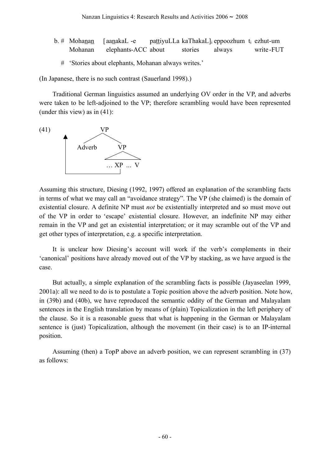|  | b. # Mohanan [aanakaL-e     |                | pattiyuLLa kaThakaL] <sub>i</sub> eppoozhum t <sub>i</sub> ezhut-um |           |
|--|-----------------------------|----------------|---------------------------------------------------------------------|-----------|
|  | Mohanan elephants-ACC about | stories always |                                                                     | write-FUT |
|  |                             |                |                                                                     |           |

# 'Stories about elephants, Mohanan always writes.'

(In Japanese, there is no such contrast (Sauerland 1998).)

Traditional German linguistics assumed an underlying OV order in the VP, and adverbs were taken to be left-adjoined to the VP; therefore scrambling would have been represented (under this view) as in (41):



Assuming this structure, Diesing (1992, 1997) offered an explanation of the scrambling facts in terms of what we may call an "avoidance strategy". The VP (she claimed) is the domain of existential closure. A definite NP must *not* be existentially interpreted and so must move out of the VP in order to 'escape' existential closure. However, an indefinite NP may either remain in the VP and get an existential interpretation; or it may scramble out of the VP and get other types of interpretation, e.g. a specific interpretation.

It is unclear how Diesing's account will work if the verb's complements in their 'canonical' positions have already moved out of the VP by stacking, as we have argued is the case.

But actually, a simple explanation of the scrambling facts is possible (Jayaseelan 1999, 2001a): all we need to do is to postulate a Topic position above the adverb position. Note how, in (39b) and (40b), we have reproduced the semantic oddity of the German and Malayalam sentences in the English translation by means of (plain) Topicalization in the left periphery of the clause. So it is a reasonable guess that what is happening in the German or Malayalam sentence is (just) Topicalization, although the movement (in their case) is to an IP-internal position.

Assuming (then) a TopP above an adverb position, we can represent scrambling in (37) as follows: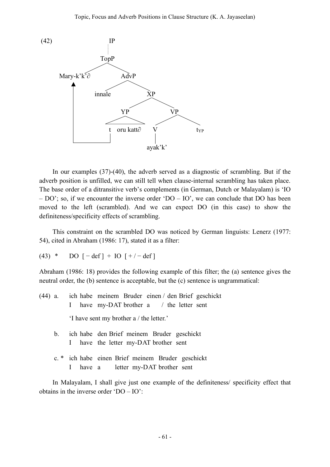

In our examples (37)-(40), the adverb served as a diagnostic of scrambling. But if the adverb position is unfilled, we can still tell when clause-internal scrambling has taken place. The base order of a ditransitive verb's complements (in German, Dutch or Malayalam) is 'IO – DO'; so, if we encounter the inverse order 'DO – IO', we can conclude that DO has been moved to the left (scrambled). And we can expect DO (in this case) to show the definiteness/specificity effects of scrambling.

This constraint on the scrambled DO was noticed by German linguists: Lenerz (1977: 54), cited in Abraham (1986: 17), stated it as a filter:

(43) \* DO  $[-def] + IO [+/-def]$ 

Abraham (1986: 18) provides the following example of this filter; the (a) sentence gives the neutral order, the (b) sentence is acceptable, but the (c) sentence is ungrammatical:

- (44) a. ich habe meinem Bruder einen / den Brief geschickt I have my-DAT brother a / the letter sent 'I have sent my brother a / the letter.'
	- b. ich habe den Brief meinem Bruder geschickt I have the letter my-DAT brother sent
	- c. \* ich habe einen Brief meinem Bruder geschickt I have a letter my-DAT brother sent

In Malayalam, I shall give just one example of the definiteness/ specificity effect that obtains in the inverse order 'DO – IO':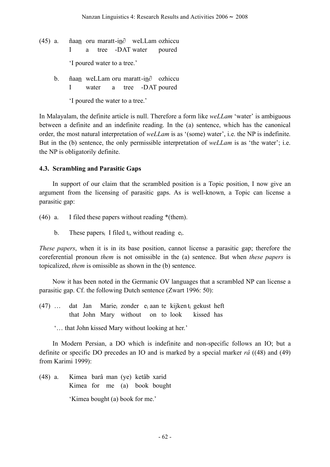- (45) a. ñaan oru maratt-in∂ weLLam ozhiccu I a tree -DAT water poured 'I poured water to a tree.'
	- b. ñaan weLLam oru maratt-in∂ ozhiccu I water a tree -DAT poured

'I poured the water to a tree.'

In Malayalam, the definite article is null. Therefore a form like *weLLam* 'water' is ambiguous between a definite and an indefinite reading. In the (a) sentence, which has the canonical order, the most natural interpretation of *weLLam* is as '(some) water', i.e. the NP is indefinite. But in the (b) sentence, the only permissible interpretation of *weLLam* is as 'the water'; i.e. the NP is obligatorily definite.

## **4.3. Scrambling and Parasitic Gaps**

In support of our claim that the scrambled position is a Topic position, I now give an argument from the licensing of parasitic gaps. As is well-known, a Topic can license a parasitic gap:

(46) a. I filed these papers without reading \*(them).

b. These papers<sub>i</sub> I filed  $t_i$ , without reading  $e_i$ .

*These papers*, when it is in its base position, cannot license a parasitic gap; therefore the coreferential pronoun *them* is not omissible in the (a) sentence. But when *these papers* is topicalized, *them* is omissible as shown in the (b) sentence.

Now it has been noted in the Germanic OV languages that a scrambled NP can license a parasitic gap. Cf. the following Dutch sentence (Zwart 1996: 50):

- (47) … dat Jan Marie<sub>i</sub> zonder e<sub>i</sub> aan te kijken t<sub>i</sub> gekust heft that John Mary without on to look kissed has
	- '… that John kissed Mary without looking at her.'

In Modern Persian, a DO which is indefinite and non-specific follows an IO; but a definite or specific DO precedes an IO and is marked by a special marker *râ* ((48) and (49) from Karimi 1999):

(48) a. Kimea barâ man (ye) ketâb xarid Kimea for me (a) book bought 'Kimea bought (a) book for me.'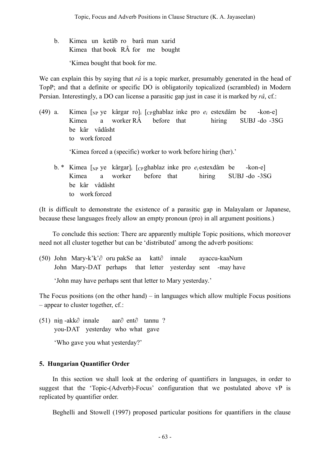b. Kimea un ketâb ro barâ man xarid Kimea that book RÂ for me bought 'Kimea bought that book for me.

We can explain this by saying that *râ* is a topic marker, presumably generated in the head of TopP; and that a definite or specific DO is obligatorily topicalized (scrambled) in Modern Persian. Interestingly, a DO can license a parasitic gap just in case it is marked by *râ*, cf.:

(49) a. Kimea [NP ye kârgar ro]i [CPghablaz inke pro *ei* estexdâm be -kon-e] Kimea a worker RÂ before that hiring SUBJ -do -3SG be kâr vâdâsht to work forced

'Kimea forced a (specific) worker to work before hiring (her).'

b. \* Kimea  $\lceil_{NP}$  ye kârgar $\lceil_{i} \rceil$   $\lceil_{CP}$  ghablaz inke pro  $e_i$  estexdâm be -kon-e Kimea a worker before that hiring SUBJ -do -3SG be kâr vâdâsht to work forced

(It is difficult to demonstrate the existence of a parasitic gap in Malayalam or Japanese, because these languages freely allow an empty pronoun (pro) in all argument positions.)

To conclude this section: There are apparently multiple Topic positions, which moreover need not all cluster together but can be 'distributed' among the adverb positions:

(50) John Mary-k'k'∂ oru pakSe aa katt∂ innale ayaccu-kaaNum John Mary-DAT perhaps that letter yesterday sent -may have

'John may have perhaps sent that letter to Mary yesterday.'

The Focus positions (on the other hand) – in languages which allow multiple Focus positions – appear to cluster together, cf.:

(51) nin -akk∂ innale aar∂ ent∂ tannu ? you-DAT yesterday who what gave

'Who gave you what yesterday?'

# **5. Hungarian Quantifier Order**

In this section we shall look at the ordering of quantifiers in languages, in order to suggest that the 'Topic-(Adverb)-Focus' configuration that we postulated above vP is replicated by quantifier order.

Beghelli and Stowell (1997) proposed particular positions for quantifiers in the clause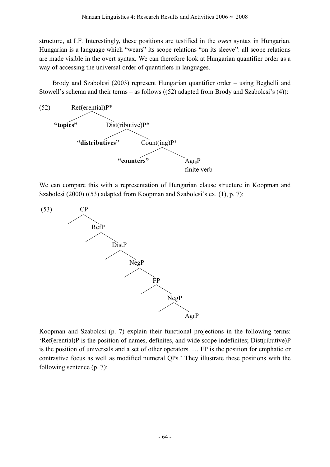structure, at LF. Interestingly, these positions are testified in the *overt* syntax in Hungarian. Hungarian is a language which "wears" its scope relations "on its sleeve": all scope relations are made visible in the overt syntax. We can therefore look at Hungarian quantifier order as a way of accessing the universal order of quantifiers in languages.

Brody and Szabolcsi (2003) represent Hungarian quantifier order – using Beghelli and Stowell's schema and their terms – as follows ((52) adapted from Brody and Szabolcsi's (4)):



We can compare this with a representation of Hungarian clause structure in Koopman and Szabolcsi (2000) ((53) adapted from Koopman and Szabolcsi's ex. (1), p. 7):



Koopman and Szabolcsi (p. 7) explain their functional projections in the following terms: 'Ref(erential)P is the position of names, definites, and wide scope indefinites; Dist(ributive)P is the position of universals and a set of other operators. … FP is the position for emphatic or contrastive focus as well as modified numeral QPs.' They illustrate these positions with the following sentence (p. 7):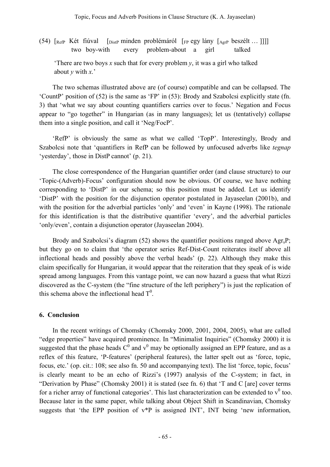(54)  $[RefP Két fúval \quad [DistP minden problemáról \quad [FP egy lány \quad [AerP beszélt ... ]]]]$ two boy-with every problem-about a girl talked

'There are two boys  $x$  such that for every problem  $y$ , it was a girl who talked about *y* with *x*.'

The two schemas illustrated above are (of course) compatible and can be collapsed. The 'CountP' position of (52) is the same as 'FP' in (53): Brody and Szabolcsi explicitly state (fn. 3) that 'what we say about counting quantifiers carries over to focus.' Negation and Focus appear to "go together" in Hungarian (as in many languages); let us (tentatively) collapse them into a single position, and call it 'Neg/FocP'.

'RefP' is obviously the same as what we called 'TopP'. Interestingly, Brody and Szabolcsi note that 'quantifiers in RefP can be followed by unfocused adverbs like *tegnap* 'yesterday', those in DistP cannot' (p. 21).

The close correspondence of the Hungarian quantifier order (and clause structure) to our 'Topic-(Adverb)-Focus' configuration should now be obvious. Of course, we have nothing corresponding to 'DistP' in our schema; so this position must be added. Let us identify 'DistP' with the position for the disjunction operator postulated in Jayaseelan (2001b), and with the position for the adverbial particles 'only' and 'even' in Kayne (1998). The rationale for this identification is that the distributive quantifier 'every', and the adverbial particles 'only/even', contain a disjunction operator (Jayaseelan 2004).

Brody and Szabolcsi's diagram (52) shows the quantifier positions ranged above  $\text{Agr}_s\text{P}$ ; but they go on to claim that 'the operator series Ref-Dist-Count reiterates itself above all inflectional heads and possibly above the verbal heads' (p. 22). Although they make this claim specifically for Hungarian, it would appear that the reiteration that they speak of is wide spread among languages. From this vantage point, we can now hazard a guess that what Rizzi discovered as the C-system (the "fine structure of the left periphery") is just the replication of this schema above the inflectional head  $T^0$ .

### **6. Conclusion**

In the recent writings of Chomsky (Chomsky 2000, 2001, 2004, 2005), what are called "edge properties" have acquired prominence. In "Minimalist Inquiries" (Chomsky 2000) it is suggested that the phase heads  $C^0$  and  $v^0$  may be optionally assigned an EPP feature, and as a reflex of this feature, 'P-features' (peripheral features), the latter spelt out as 'force, topic, focus, etc.' (op. cit.: 108; see also fn. 50 and accompanying text). The list 'force, topic, focus' is clearly meant to be an echo of Rizzi's (1997) analysis of the C-system; in fact, in "Derivation by Phase" (Chomsky 2001) it is stated (see fn. 6) that 'T and C [are] cover terms for a richer array of functional categories'. This last characterization can be extended to  $v^0$  too. Because later in the same paper, while talking about Object Shift in Scandinavian, Chomsky suggests that 'the EPP position of  $v^*P$  is assigned INT', INT being 'new information,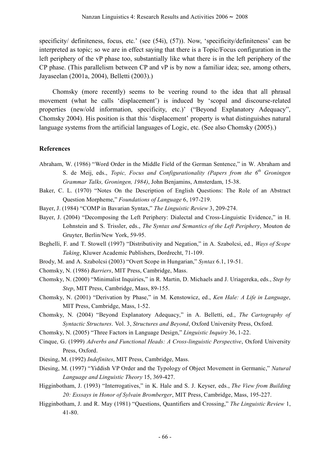specificity/ definiteness, focus, etc.' (see (54i), (57)). Now, 'specificity/definiteness' can be interpreted as topic; so we are in effect saying that there is a Topic/Focus configuration in the left periphery of the vP phase too, substantially like what there is in the left periphery of the CP phase. (This parallelism between CP and vP is by now a familiar idea; see, among others, Jayaseelan (2001a, 2004), Belletti (2003).)

Chomsky (more recently) seems to be veering round to the idea that all phrasal movement (what he calls 'displacement') is induced by 'scopal and discourse-related properties (new/old information, specificity, etc.)' ("Beyond Explanatory Adequacy", Chomsky 2004). His position is that this 'displacement' property is what distinguishes natural language systems from the artificial languages of Logic, etc. (See also Chomsky (2005).)

### **References**

- Abraham, W. (1986) "Word Order in the Middle Field of the German Sentence," in W. Abraham and S. de Meij, eds., *Topic, Focus and Configurationality (Papers from the 6th Groningen Grammar Talks, Groningen, 1984)*, John Benjamins, Amsterdam, 15-38.
- Baker, C. L. (1970) "Notes On the Description of English Questions: The Role of an Abstract Question Morpheme," *Foundations of Language* 6, 197-219.
- Bayer, J. (1984) "COMP in Bavarian Syntax," *The Linguistic Review* 3, 209-274.
- Bayer, J. (2004) "Decomposing the Left Periphery: Dialectal and Cross-Linguistic Evidence," in H. Lohnstein and S. Trissler, eds., *The Syntax and Semantics of the Left Periphery*, Mouton de Gruyter, Berlin/New York, 59-95.
- Beghelli, F. and T. Stowell (1997) "Distributivity and Negation," in A. Szabolcsi, ed., *Ways of Scope Taking*, Kluwer Academic Publishers, Dordrecht, 71-109.
- Brody, M. and A. Szabolcsi (2003) "Overt Scope in Hungarian," *Syntax* 6.1, 19-51.
- Chomsky, N. (1986) *Barriers*, MIT Press, Cambridge, Mass.
- Chomsky, N. (2000) "Minimalist Inquiries," in R. Martin, D. Michaels and J. Uriagereka, eds., *Step by Step*, MIT Press, Cambridge, Mass, 89-155.
- Chomsky, N. (2001) "Derivation by Phase," in M. Kenstowicz, ed., *Ken Hale: A Life in Language*, MIT Press, Cambridge, Mass, 1-52.
- Chomsky, N. (2004) "Beyond Explanatory Adequacy," in A. Belletti, ed., *The Cartography of Syntactic Structures*. Vol. 3, *Structures and Beyond*, Oxford University Press, Oxford.
- Chomsky, N. (2005) "Three Factors in Language Design," *Linguistic Inquiry* 36, 1-22.
- Cinque, G. (1999) *Adverbs and Functional Heads: A Cross-linguistic Perspective*, Oxford University Press, Oxford.
- Diesing, M. (1992) *Indefinites*, MIT Press, Cambridge, Mass.
- Diesing, M. (1997) "Yiddish VP Order and the Typology of Object Movement in Germanic," *Natural Language and Linguistic Theory* 15, 369-427.
- Higginbotham, J. (1993) "Interrogatives," in K. Hale and S. J. Keyser, eds., *The View from Building 20: Esssays in Honor of Sylvain Bromberger*, MIT Press, Cambridge, Mass, 195-227.
- Higginbotham, J. and R. May (1981) "Questions, Quantifiers and Crossing," *The Linguistic Review* 1, 41-80.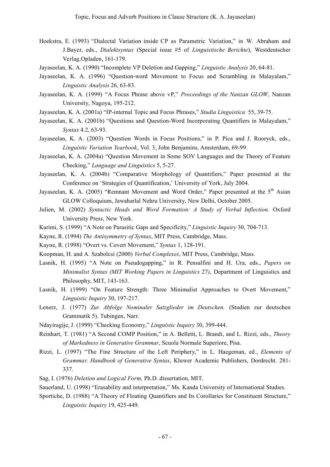- Hoekstra, E. (1993) "Dialectal Variation inside CP as Parametric Variation," in W. Abraham and J.Bayer, eds., *Dialektsyntax* (Special issue #5 of *Linguistische Berichte*), Westdeutscher Verlag,Opladen, 161-179.
- Jayaseelan, K. A. (1990) "Incomplete VP Deletion and Gapping," *Linguistic Analysis* 20, 64-81.
- Jayaseelan, K. A. (1996) "Question-word Movement to Focus and Scrambling in Malayalam," *Linguistic Analysis* 26, 63-83.
- Jayaseelan, K. A. (1999) "A Focus Phrase above vP," *Proceedings of the Nanzan GLOW*, Nanzan University, Nagoya, 195-212.
- Jayaseelan, K. A. (2001a) "IP-internal Topic and Focus Phrases," *Studia Linguistica* 55, 39-75.
- Jayaseelan, K. A. (2001b) "Questions and Question-Word Incorporating Quantifiers in Malayalam," *Syntax* 4.2, 63-93.
- Jayaseelan, K. A. (2003) "Question Words in Focus Positions," in P. Pica and J. Rooryck, eds., *Linguistic Variation Yearbook*, Vol. 3, John Benjamins, Amsterdam, 69-99.
- Jayaseelan, K. A. (2004a) "Question Movement in Some SOV Languages and the Theory of Feature Checking," *Language and Linguistics* 5, 5-27.
- Jayaseelan, K. A. (2004b) "Comparative Morphology of Quantifiers," Paper presented at the Conference on 'Strategies of Quantification,' University of York, July 2004.
- Jayaseelan, K. A. (2005) "Remnant Movement and Word Order," Paper presented at the  $5<sup>th</sup>$  Asian GLOW Colloquium, Jawaharlal Nehru University, New Delhi, October 2005.
- Julien, M. (2002) *Syntactic Heads and Word Formation: A Study of Verbal Inflection.* Oxford University Press, New York.
- Karimi, S. (1999) "A Note on Parasitic Gaps and Specificity," *Linguistic Inquiry* 30, 704-713.
- Kayne, R. (1994) *The Antisymmetry of Syntax*, MIT Press, Cambridge, Mass.
- Kayne, R. (1998) "Overt vs. Covert Movement," *Syntax* 1, 128-191.
- Koopman, H. and A. Szabolcsi (2000) *Verbal Complexes*, MIT Press, Cambridge, Mass.
- Lasnik, H. (1995) "A Note on Pseudogapping," in R. Pensalfini and H. Ura, eds., *Papers on Minimalist Syntax (MIT Working Papers in Linguistics* 27*)*, Department of Linguistics and Philosophy, MIT, 143-163.
- Lasnik, H. (1999) "On Feature Strength: Three Minimalist Approaches to Overt Movement," *Linguistic Inquiry* 30, 197-217.
- Lenerz, J. (1977) *Zur Abfolge Nominaler Satzglieder im Deutschen.* (Studien zur deutschen Grammatik 5). Tubingen, Narr.
- Ndayiragije, J. (1999) "Checking Economy," *Linguistic Inquiry* 30, 399-444.
- Reinhart, T. (1981) "A Second COMP Position," in A. Belletti, L. Brandi, and L. Rizzi, eds., *Theory of Markedness in Generative Grammar*, Scuola Normale Superiore, Pisa.
- Rizzi, L. (1997) "The Fine Structure of the Left Periphery," in L. Haegeman, ed., *Elements of Grammar. Handbook of Generative Syntax*, Kluwer Academic Publishers, Dordrecht. 281- 337.
- Sag, I. (1976) *Deletion and Logical Form,* Ph.D. dissertation, MIT.
- Sauerland, U. (1998) "Erasability and interpretation," Ms. Kanda University of International Studies.
- Sportiche, D. (1988) "A Theory of Floating Quantifiers and Its Corollaries for Constituent Structure," *Linguistic Inquiry* 19, 425-449.